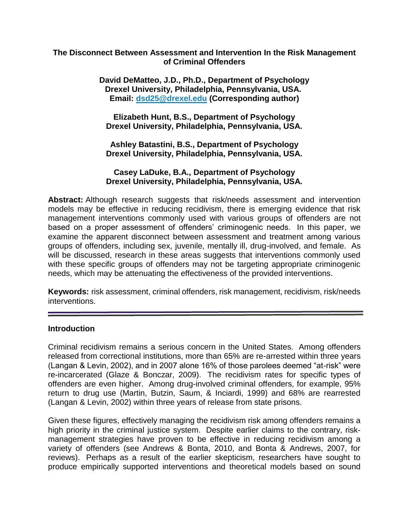### **The Disconnect Between Assessment and Intervention In the Risk Management of Criminal Offenders**

**David DeMatteo, J.D., Ph.D., Department of Psychology Drexel University, Philadelphia, Pennsylvania, USA. Email: [dsd25@drexel.edu](mailto:dsd25@drexel.edu) (Corresponding author)**

**Elizabeth Hunt, B.S., Department of Psychology Drexel University, Philadelphia, Pennsylvania, USA.**

**Ashley Batastini, B.S., Department of Psychology Drexel University, Philadelphia, Pennsylvania, USA.**

**Casey LaDuke, B.A., Department of Psychology Drexel University, Philadelphia, Pennsylvania, USA.**

**Abstract:** Although research suggests that risk/needs assessment and intervention models may be effective in reducing recidivism, there is emerging evidence that risk management interventions commonly used with various groups of offenders are not based on a proper assessment of offenders' criminogenic needs. In this paper, we examine the apparent disconnect between assessment and treatment among various groups of offenders, including sex, juvenile, mentally ill, drug-involved, and female. As will be discussed, research in these areas suggests that interventions commonly used with these specific groups of offenders may not be targeting appropriate criminogenic needs, which may be attenuating the effectiveness of the provided interventions.

**Keywords:** risk assessment, criminal offenders, risk management, recidivism, risk/needs interventions.

#### **Introduction**

Criminal recidivism remains a serious concern in the United States. Among offenders released from correctional institutions, more than 65% are re-arrested within three years (Langan & Levin, 2002), and in 2007 alone 16% of those parolees deemed "at-risk" were re-incarcerated (Glaze & Bonczar, 2009). The recidivism rates for specific types of offenders are even higher. Among drug-involved criminal offenders, for example, 95% return to drug use (Martin, Butzin, Saum, & Inciardi, 1999) and 68% are rearrested (Langan & Levin, 2002) within three years of release from state prisons.

Given these figures, effectively managing the recidivism risk among offenders remains a high priority in the criminal justice system. Despite earlier claims to the contrary, riskmanagement strategies have proven to be effective in reducing recidivism among a variety of offenders (see Andrews & Bonta, 2010, and Bonta & Andrews, 2007, for reviews). Perhaps as a result of the earlier skepticism, researchers have sought to produce empirically supported interventions and theoretical models based on sound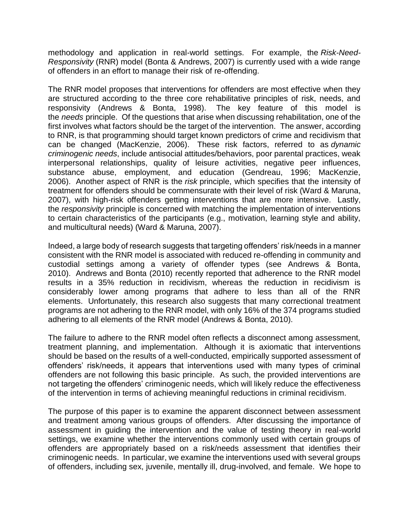methodology and application in real-world settings. For example, the *Risk-Need-Responsivity* (RNR) model (Bonta & Andrews, 2007) is currently used with a wide range of offenders in an effort to manage their risk of re-offending.

The RNR model proposes that interventions for offenders are most effective when they are structured according to the three core rehabilitative principles of risk, needs, and responsivity (Andrews & Bonta, 1998). The key feature of this model is the *needs* principle. Of the questions that arise when discussing rehabilitation, one of the first involves what factors should be the target of the intervention. The answer, according to RNR, is that programming should target known predictors of crime and recidivism that can be changed (MacKenzie, 2006). These risk factors, referred to as *dynamic criminogenic needs*, include antisocial attitudes/behaviors, poor parental practices, weak interpersonal relationships, quality of leisure activities, negative peer influences, substance abuse, employment, and education (Gendreau, 1996; MacKenzie, 2006). Another aspect of RNR is the *risk* principle, which specifies that the intensity of treatment for offenders should be commensurate with their level of risk (Ward & Maruna, 2007), with high-risk offenders getting interventions that are more intensive. Lastly, the *responsivity* principle is concerned with matching the implementation of interventions to certain characteristics of the participants (e.g., motivation, learning style and ability, and multicultural needs) (Ward & Maruna, 2007).

Indeed, a large body of research suggests that targeting offenders' risk/needs in a manner consistent with the RNR model is associated with reduced re-offending in community and custodial settings among a variety of offender types (see Andrews & Bonta, 2010). Andrews and Bonta (2010) recently reported that adherence to the RNR model results in a 35% reduction in recidivism, whereas the reduction in recidivism is considerably lower among programs that adhere to less than all of the RNR elements. Unfortunately, this research also suggests that many correctional treatment programs are not adhering to the RNR model, with only 16% of the 374 programs studied adhering to all elements of the RNR model (Andrews & Bonta, 2010).

The failure to adhere to the RNR model often reflects a disconnect among assessment, treatment planning, and implementation. Although it is axiomatic that interventions should be based on the results of a well-conducted, empirically supported assessment of offenders' risk/needs, it appears that interventions used with many types of criminal offenders are not following this basic principle. As such, the provided interventions are not targeting the offenders' criminogenic needs, which will likely reduce the effectiveness of the intervention in terms of achieving meaningful reductions in criminal recidivism.

The purpose of this paper is to examine the apparent disconnect between assessment and treatment among various groups of offenders. After discussing the importance of assessment in guiding the intervention and the value of testing theory in real-world settings, we examine whether the interventions commonly used with certain groups of offenders are appropriately based on a risk/needs assessment that identifies their criminogenic needs. In particular, we examine the interventions used with several groups of offenders, including sex, juvenile, mentally ill, drug-involved, and female. We hope to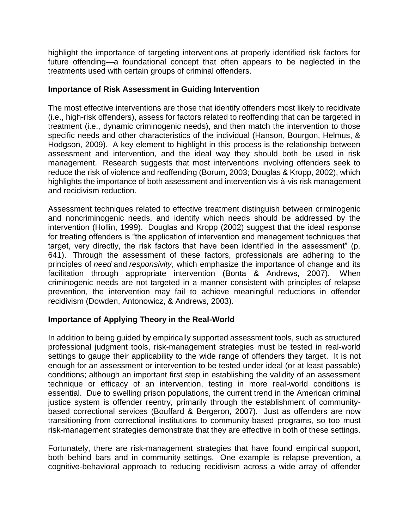highlight the importance of targeting interventions at properly identified risk factors for future offending—a foundational concept that often appears to be neglected in the treatments used with certain groups of criminal offenders.

### **Importance of Risk Assessment in Guiding Intervention**

The most effective interventions are those that identify offenders most likely to recidivate (i.e., high-risk offenders), assess for factors related to reoffending that can be targeted in treatment (i.e., dynamic criminogenic needs), and then match the intervention to those specific needs and other characteristics of the individual (Hanson, Bourgon, Helmus, & Hodgson, 2009). A key element to highlight in this process is the relationship between assessment and intervention, and the ideal way they should both be used in risk management. Research suggests that most interventions involving offenders seek to reduce the risk of violence and reoffending (Borum, 2003; Douglas & Kropp, 2002), which highlights the importance of both assessment and intervention vis-à-vis risk management and recidivism reduction.

Assessment techniques related to effective treatment distinguish between criminogenic and noncriminogenic needs, and identify which needs should be addressed by the intervention (Hollin, 1999). Douglas and Kropp (2002) suggest that the ideal response for treating offenders is "the application of intervention and management techniques that target, very directly, the risk factors that have been identified in the assessment" (p. 641). Through the assessment of these factors, professionals are adhering to the principles of *need* and *responsivity*, which emphasize the importance of change and its facilitation through appropriate intervention (Bonta & Andrews, 2007). When criminogenic needs are not targeted in a manner consistent with principles of relapse prevention, the intervention may fail to achieve meaningful reductions in offender recidivism (Dowden, Antonowicz, & Andrews, 2003).

# **Importance of Applying Theory in the Real-World**

In addition to being guided by empirically supported assessment tools, such as structured professional judgment tools, risk-management strategies must be tested in real-world settings to gauge their applicability to the wide range of offenders they target. It is not enough for an assessment or intervention to be tested under ideal (or at least passable) conditions; although an important first step in establishing the validity of an assessment technique or efficacy of an intervention, testing in more real-world conditions is essential. Due to swelling prison populations, the current trend in the American criminal justice system is offender reentry, primarily through the establishment of communitybased correctional services (Bouffard & Bergeron, 2007). Just as offenders are now transitioning from correctional institutions to community-based programs, so too must risk-management strategies demonstrate that they are effective in both of these settings.

Fortunately, there are risk-management strategies that have found empirical support, both behind bars and in community settings. One example is relapse prevention, a cognitive-behavioral approach to reducing recidivism across a wide array of offender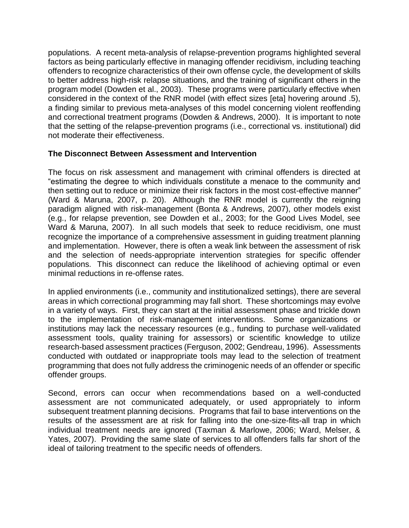populations. A recent meta-analysis of relapse-prevention programs highlighted several factors as being particularly effective in managing offender recidivism, including teaching offenders to recognize characteristics of their own offense cycle, the development of skills to better address high-risk relapse situations, and the training of significant others in the program model (Dowden et al., 2003). These programs were particularly effective when considered in the context of the RNR model (with effect sizes [eta] hovering around .5), a finding similar to previous meta-analyses of this model concerning violent reoffending and correctional treatment programs (Dowden & Andrews, 2000). It is important to note that the setting of the relapse-prevention programs (i.e., correctional vs. institutional) did not moderate their effectiveness.

## **The Disconnect Between Assessment and Intervention**

The focus on risk assessment and management with criminal offenders is directed at "estimating the degree to which individuals constitute a menace to the community and then setting out to reduce or minimize their risk factors in the most cost-effective manner" (Ward & Maruna, 2007, p. 20). Although the RNR model is currently the reigning paradigm aligned with risk-management (Bonta & Andrews, 2007), other models exist (e.g., for relapse prevention, see Dowden et al., 2003; for the Good Lives Model, see Ward & Maruna, 2007). In all such models that seek to reduce recidivism, one must recognize the importance of a comprehensive assessment in guiding treatment planning and implementation. However, there is often a weak link between the assessment of risk and the selection of needs-appropriate intervention strategies for specific offender populations. This disconnect can reduce the likelihood of achieving optimal or even minimal reductions in re-offense rates.

In applied environments (i.e., community and institutionalized settings), there are several areas in which correctional programming may fall short. These shortcomings may evolve in a variety of ways. First, they can start at the initial assessment phase and trickle down to the implementation of risk-management interventions. Some organizations or institutions may lack the necessary resources (e.g., funding to purchase well-validated assessment tools, quality training for assessors) or scientific knowledge to utilize research-based assessment practices (Ferguson, 2002; Gendreau, 1996). Assessments conducted with outdated or inappropriate tools may lead to the selection of treatment programming that does not fully address the criminogenic needs of an offender or specific offender groups.

Second, errors can occur when recommendations based on a well-conducted assessment are not communicated adequately, or used appropriately to inform subsequent treatment planning decisions. Programs that fail to base interventions on the results of the assessment are at risk for falling into the one-size-fits-all trap in which individual treatment needs are ignored (Taxman & Marlowe, 2006; Ward, Melser, & Yates, 2007). Providing the same slate of services to all offenders falls far short of the ideal of tailoring treatment to the specific needs of offenders.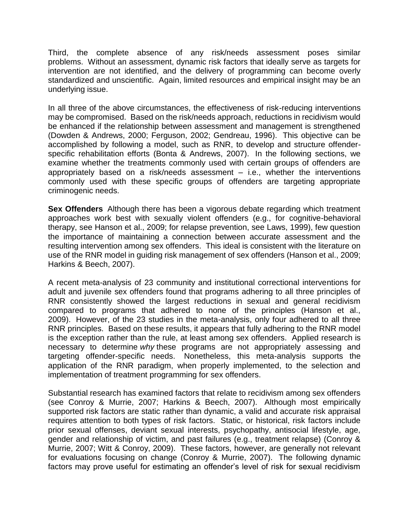Third, the complete absence of any risk/needs assessment poses similar problems. Without an assessment, dynamic risk factors that ideally serve as targets for intervention are not identified, and the delivery of programming can become overly standardized and unscientific. Again, limited resources and empirical insight may be an underlying issue.

In all three of the above circumstances, the effectiveness of risk-reducing interventions may be compromised. Based on the risk/needs approach, reductions in recidivism would be enhanced if the relationship between assessment and management is strengthened (Dowden & Andrews, 2000; Ferguson, 2002; Gendreau, 1996). This objective can be accomplished by following a model, such as RNR, to develop and structure offenderspecific rehabilitation efforts (Bonta & Andrews, 2007). In the following sections, we examine whether the treatments commonly used with certain groups of offenders are appropriately based on a risk/needs assessment – i.e., whether the interventions commonly used with these specific groups of offenders are targeting appropriate criminogenic needs.

**Sex Offenders** Although there has been a vigorous debate regarding which treatment approaches work best with sexually violent offenders (e.g., for cognitive-behavioral therapy, see Hanson et al., 2009; for relapse prevention, see Laws, 1999), few question the importance of maintaining a connection between accurate assessment and the resulting intervention among sex offenders. This ideal is consistent with the literature on use of the RNR model in guiding risk management of sex offenders (Hanson et al., 2009; Harkins & Beech, 2007).

A recent meta-analysis of 23 community and institutional correctional interventions for adult and juvenile sex offenders found that programs adhering to all three principles of RNR consistently showed the largest reductions in sexual and general recidivism compared to programs that adhered to none of the principles (Hanson et al., 2009). However, of the 23 studies in the meta-analysis, only four adhered to all three RNR principles. Based on these results, it appears that fully adhering to the RNR model is the exception rather than the rule, at least among sex offenders. Applied research is necessary to determine *why* these programs are not appropriately assessing and targeting offender-specific needs. Nonetheless, this meta-analysis supports the application of the RNR paradigm, when properly implemented, to the selection and implementation of treatment programming for sex offenders.

Substantial research has examined factors that relate to recidivism among sex offenders (see Conroy & Murrie, 2007; Harkins & Beech, 2007). Although most empirically supported risk factors are static rather than dynamic, a valid and accurate risk appraisal requires attention to both types of risk factors. Static, or historical, risk factors include prior sexual offenses, deviant sexual interests, psychopathy, antisocial lifestyle, age, gender and relationship of victim, and past failures (e.g., treatment relapse) (Conroy & Murrie, 2007; Witt & Conroy, 2009). These factors, however, are generally not relevant for evaluations focusing on change (Conroy & Murrie, 2007). The following dynamic factors may prove useful for estimating an offender's level of risk for sexual recidivism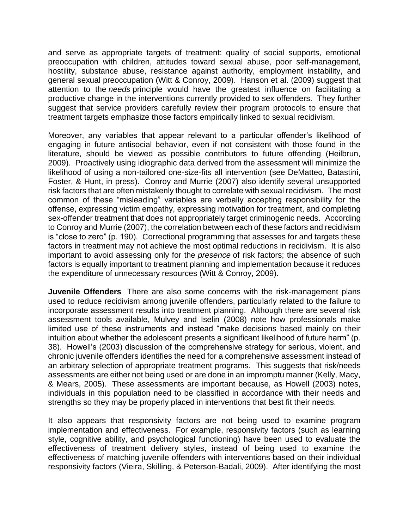and serve as appropriate targets of treatment: quality of social supports, emotional preoccupation with children, attitudes toward sexual abuse, poor self-management, hostility, substance abuse, resistance against authority, employment instability, and general sexual preoccupation (Witt & Conroy, 2009). Hanson et al. (2009) suggest that attention to the *needs* principle would have the greatest influence on facilitating a productive change in the interventions currently provided to sex offenders. They further suggest that service providers carefully review their program protocols to ensure that treatment targets emphasize those factors empirically linked to sexual recidivism.

Moreover, any variables that appear relevant to a particular offender's likelihood of engaging in future antisocial behavior, even if not consistent with those found in the literature, should be viewed as possible contributors to future offending (Heilbrun, 2009). Proactively using idiographic data derived from the assessment will minimize the likelihood of using a non-tailored one-size-fits all intervention (see DeMatteo, Batastini, Foster, & Hunt, in press). Conroy and Murrie (2007) also identify several unsupported risk factors that are often mistakenly thought to correlate with sexual recidivism. The most common of these "misleading" variables are verbally accepting responsibility for the offense, expressing victim empathy, expressing motivation for treatment, and completing sex-offender treatment that does not appropriately target criminogenic needs. According to Conroy and Murrie (2007), the correlation between each of these factors and recidivism is "close to zero" (p. 190). Correctional programming that assesses for and targets these factors in treatment may not achieve the most optimal reductions in recidivism. It is also important to avoid assessing only for the *presence* of risk factors; the absence of such factors is equally important to treatment planning and implementation because it reduces the expenditure of unnecessary resources (Witt & Conroy, 2009).

**Juvenile Offenders** There are also some concerns with the risk-management plans used to reduce recidivism among juvenile offenders, particularly related to the failure to incorporate assessment results into treatment planning. Although there are several risk assessment tools available, Mulvey and Iselin (2008) note how professionals make limited use of these instruments and instead "make decisions based mainly on their intuition about whether the adolescent presents a significant likelihood of future harm" (p. 38). Howell's (2003) discussion of the comprehensive strategy for serious, violent, and chronic juvenile offenders identifies the need for a comprehensive assessment instead of an arbitrary selection of appropriate treatment programs. This suggests that risk/needs assessments are either not being used or are done in an impromptu manner (Kelly, Macy, & Mears, 2005). These assessments are important because, as Howell (2003) notes, individuals in this population need to be classified in accordance with their needs and strengths so they may be properly placed in interventions that best fit their needs.

It also appears that responsivity factors are not being used to examine program implementation and effectiveness. For example, responsivity factors (such as learning style, cognitive ability, and psychological functioning) have been used to evaluate the effectiveness of treatment delivery styles, instead of being used to examine the effectiveness of matching juvenile offenders with interventions based on their individual responsivity factors (Vieira, Skilling, & Peterson-Badali, 2009). After identifying the most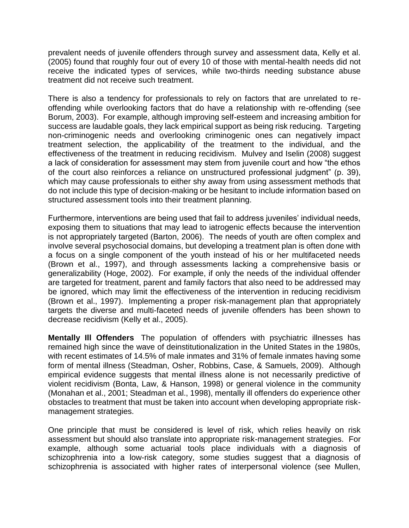prevalent needs of juvenile offenders through survey and assessment data, Kelly et al. (2005) found that roughly four out of every 10 of those with mental-health needs did not receive the indicated types of services, while two-thirds needing substance abuse treatment did not receive such treatment.

There is also a tendency for professionals to rely on factors that are unrelated to reoffending while overlooking factors that do have a relationship with re-offending (see Borum, 2003). For example, although improving self-esteem and increasing ambition for success are laudable goals, they lack empirical support as being risk reducing. Targeting non-criminogenic needs and overlooking criminogenic ones can negatively impact treatment selection, the applicability of the treatment to the individual, and the effectiveness of the treatment in reducing recidivism. Mulvey and Iselin (2008) suggest a lack of consideration for assessment may stem from juvenile court and how "the ethos of the court also reinforces a reliance on unstructured professional judgment" (p. 39), which may cause professionals to either shy away from using assessment methods that do not include this type of decision-making or be hesitant to include information based on structured assessment tools into their treatment planning.

Furthermore, interventions are being used that fail to address juveniles' individual needs, exposing them to situations that may lead to iatrogenic effects because the intervention is not appropriately targeted (Barton, 2006). The needs of youth are often complex and involve several psychosocial domains, but developing a treatment plan is often done with a focus on a single component of the youth instead of his or her multifaceted needs (Brown et al., 1997), and through assessments lacking a comprehensive basis or generalizability (Hoge, 2002). For example, if only the needs of the individual offender are targeted for treatment, parent and family factors that also need to be addressed may be ignored, which may limit the effectiveness of the intervention in reducing recidivism (Brown et al., 1997). Implementing a proper risk-management plan that appropriately targets the diverse and multi-faceted needs of juvenile offenders has been shown to decrease recidivism (Kelly et al., 2005).

**Mentally Ill Offenders** The population of offenders with psychiatric illnesses has remained high since the wave of deinstitutionalization in the United States in the 1980s, with recent estimates of 14.5% of male inmates and 31% of female inmates having some form of mental illness (Steadman, Osher, Robbins, Case, & Samuels, 2009). Although empirical evidence suggests that mental illness alone is not necessarily predictive of violent recidivism (Bonta, Law, & Hanson, 1998) or general violence in the community (Monahan et al., 2001; Steadman et al., 1998), mentally ill offenders do experience other obstacles to treatment that must be taken into account when developing appropriate riskmanagement strategies.

One principle that must be considered is level of risk, which relies heavily on risk assessment but should also translate into appropriate risk-management strategies. For example, although some actuarial tools place individuals with a diagnosis of schizophrenia into a low-risk category, some studies suggest that a diagnosis of schizophrenia is associated with higher rates of interpersonal violence (see Mullen,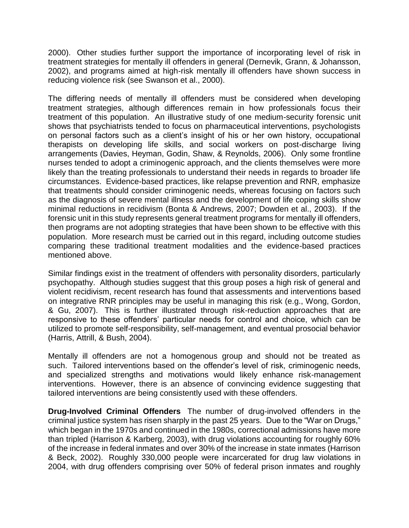2000). Other studies further support the importance of incorporating level of risk in treatment strategies for mentally ill offenders in general (Dernevik, Grann, & Johansson, 2002), and programs aimed at high-risk mentally ill offenders have shown success in reducing violence risk (see Swanson et al., 2000).

The differing needs of mentally ill offenders must be considered when developing treatment strategies, although differences remain in how professionals focus their treatment of this population. An illustrative study of one medium-security forensic unit shows that psychiatrists tended to focus on pharmaceutical interventions, psychologists on personal factors such as a client's insight of his or her own history, occupational therapists on developing life skills, and social workers on post-discharge living arrangements (Davies, Heyman, Godin, Shaw, & Reynolds, 2006). Only some frontline nurses tended to adopt a criminogenic approach, and the clients themselves were more likely than the treating professionals to understand their needs in regards to broader life circumstances. Evidence-based practices, like relapse prevention and RNR, emphasize that treatments should consider criminogenic needs, whereas focusing on factors such as the diagnosis of severe mental illness and the development of life coping skills show minimal reductions in recidivism (Bonta & Andrews, 2007; Dowden et al., 2003). If the forensic unit in this study represents general treatment programs for mentally ill offenders, then programs are not adopting strategies that have been shown to be effective with this population. More research must be carried out in this regard, including outcome studies comparing these traditional treatment modalities and the evidence-based practices mentioned above.

Similar findings exist in the treatment of offenders with personality disorders, particularly psychopathy. Although studies suggest that this group poses a high risk of general and violent recidivism, recent research has found that assessments and interventions based on integrative RNR principles may be useful in managing this risk (e.g., Wong, Gordon, & Gu, 2007). This is further illustrated through risk-reduction approaches that are responsive to these offenders' particular needs for control and choice, which can be utilized to promote self-responsibility, self-management, and eventual prosocial behavior (Harris, Attrill, & Bush, 2004).

Mentally ill offenders are not a homogenous group and should not be treated as such. Tailored interventions based on the offender's level of risk, criminogenic needs, and specialized strengths and motivations would likely enhance risk-management interventions. However, there is an absence of convincing evidence suggesting that tailored interventions are being consistently used with these offenders.

**Drug-Involved Criminal Offenders** The number of drug-involved offenders in the criminal justice system has risen sharply in the past 25 years. Due to the "War on Drugs," which began in the 1970s and continued in the 1980s, correctional admissions have more than tripled (Harrison & Karberg, 2003), with drug violations accounting for roughly 60% of the increase in federal inmates and over 30% of the increase in state inmates (Harrison & Beck, 2002). Roughly 330,000 people were incarcerated for drug law violations in 2004, with drug offenders comprising over 50% of federal prison inmates and roughly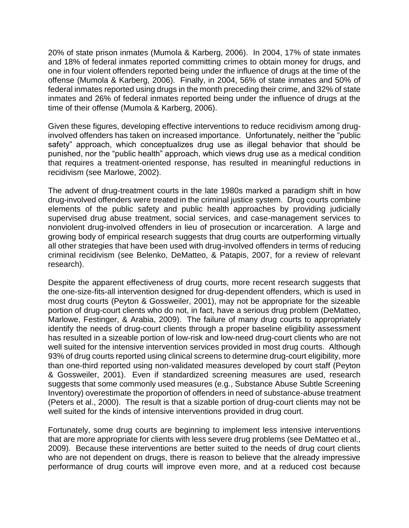20% of state prison inmates (Mumola & Karberg, 2006). In 2004, 17% of state inmates and 18% of federal inmates reported committing crimes to obtain money for drugs, and one in four violent offenders reported being under the influence of drugs at the time of the offense (Mumola & Karberg, 2006). Finally, in 2004, 56% of state inmates and 50% of federal inmates reported using drugs in the month preceding their crime, and 32% of state inmates and 26% of federal inmates reported being under the influence of drugs at the time of their offense (Mumola & Karberg, 2006).

Given these figures, developing effective interventions to reduce recidivism among druginvolved offenders has taken on increased importance. Unfortunately, neither the "public safety" approach, which conceptualizes drug use as illegal behavior that should be punished, nor the "public health" approach, which views drug use as a medical condition that requires a treatment-oriented response, has resulted in meaningful reductions in recidivism (see Marlowe, 2002).

The advent of drug-treatment courts in the late 1980s marked a paradigm shift in how drug-involved offenders were treated in the criminal justice system. Drug courts combine elements of the public safety and public health approaches by providing judicially supervised drug abuse treatment, social services, and case-management services to nonviolent drug-involved offenders in lieu of prosecution or incarceration. A large and growing body of empirical research suggests that drug courts are outperforming virtually all other strategies that have been used with drug-involved offenders in terms of reducing criminal recidivism (see Belenko, DeMatteo, & Patapis, 2007, for a review of relevant research).

Despite the apparent effectiveness of drug courts, more recent research suggests that the one-size-fits-all intervention designed for drug-dependent offenders, which is used in most drug courts (Peyton & Gossweiler, 2001), may not be appropriate for the sizeable portion of drug-court clients who do not, in fact, have a serious drug problem (DeMatteo, Marlowe, Festinger, & Arabia, 2009). The failure of many drug courts to appropriately identify the needs of drug-court clients through a proper baseline eligibility assessment has resulted in a sizeable portion of low-risk and low-need drug-court clients who are not well suited for the intensive intervention services provided in most drug courts. Although 93% of drug courts reported using clinical screens to determine drug-court eligibility, more than one-third reported using non-validated measures developed by court staff (Peyton & Gossweiler, 2001). Even if standardized screening measures are used, research suggests that some commonly used measures (e.g., Substance Abuse Subtle Screening Inventory) overestimate the proportion of offenders in need of substance-abuse treatment (Peters et al., 2000). The result is that a sizable portion of drug-court clients may not be well suited for the kinds of intensive interventions provided in drug court.

Fortunately, some drug courts are beginning to implement less intensive interventions that are more appropriate for clients with less severe drug problems (see DeMatteo et al., 2009). Because these interventions are better suited to the needs of drug court clients who are not dependent on drugs, there is reason to believe that the already impressive performance of drug courts will improve even more, and at a reduced cost because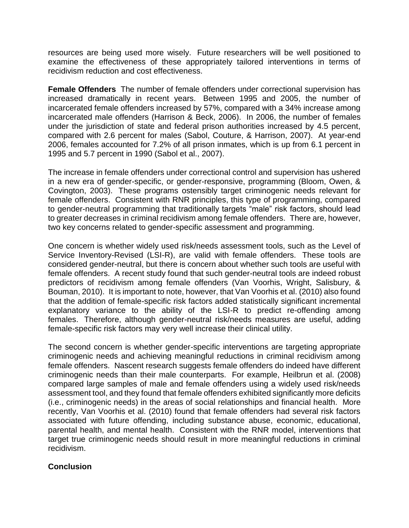resources are being used more wisely. Future researchers will be well positioned to examine the effectiveness of these appropriately tailored interventions in terms of recidivism reduction and cost effectiveness.

**Female Offenders** The number of female offenders under correctional supervision has increased dramatically in recent years. Between 1995 and 2005, the number of incarcerated female offenders increased by 57%, compared with a 34% increase among incarcerated male offenders (Harrison & Beck, 2006). In 2006, the number of females under the jurisdiction of state and federal prison authorities increased by 4.5 percent, compared with 2.6 percent for males (Sabol, Couture, & Harrison, 2007). At year-end 2006, females accounted for 7.2% of all prison inmates, which is up from 6.1 percent in 1995 and 5.7 percent in 1990 (Sabol et al., 2007).

The increase in female offenders under correctional control and supervision has ushered in a new era of gender-specific, or gender-responsive, programming (Bloom, Owen, & Covington, 2003). These programs ostensibly target criminogenic needs relevant for female offenders. Consistent with RNR principles, this type of programming, compared to gender-neutral programming that traditionally targets "male" risk factors, should lead to greater decreases in criminal recidivism among female offenders. There are, however, two key concerns related to gender-specific assessment and programming.

One concern is whether widely used risk/needs assessment tools, such as the Level of Service Inventory-Revised (LSI-R), are valid with female offenders. These tools are considered gender-neutral, but there is concern about whether such tools are useful with female offenders. A recent study found that such gender-neutral tools are indeed robust predictors of recidivism among female offenders (Van Voorhis, Wright, Salisbury, & Bouman, 2010). It is important to note, however, that Van Voorhis et al. (2010) also found that the addition of female-specific risk factors added statistically significant incremental explanatory variance to the ability of the LSI-R to predict re-offending among females. Therefore, although gender-neutral risk/needs measures are useful, adding female-specific risk factors may very well increase their clinical utility.

The second concern is whether gender-specific interventions are targeting appropriate criminogenic needs and achieving meaningful reductions in criminal recidivism among female offenders. Nascent research suggests female offenders do indeed have different criminogenic needs than their male counterparts. For example, Heilbrun et al. (2008) compared large samples of male and female offenders using a widely used risk/needs assessment tool, and they found that female offenders exhibited significantly more deficits (i.e., criminogenic needs) in the areas of social relationships and financial health. More recently, Van Voorhis et al. (2010) found that female offenders had several risk factors associated with future offending, including substance abuse, economic, educational, parental health, and mental health. Consistent with the RNR model, interventions that target true criminogenic needs should result in more meaningful reductions in criminal recidivism.

### **Conclusion**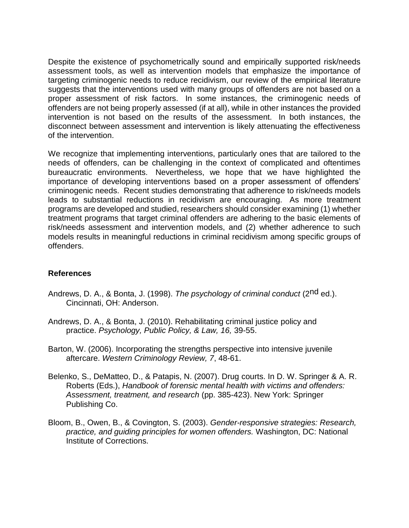Despite the existence of psychometrically sound and empirically supported risk/needs assessment tools, as well as intervention models that emphasize the importance of targeting criminogenic needs to reduce recidivism, our review of the empirical literature suggests that the interventions used with many groups of offenders are not based on a proper assessment of risk factors. In some instances, the criminogenic needs of offenders are not being properly assessed (if at all), while in other instances the provided intervention is not based on the results of the assessment. In both instances, the disconnect between assessment and intervention is likely attenuating the effectiveness of the intervention.

We recognize that implementing interventions, particularly ones that are tailored to the needs of offenders, can be challenging in the context of complicated and oftentimes bureaucratic environments. Nevertheless, we hope that we have highlighted the importance of developing interventions based on a proper assessment of offenders' criminogenic needs. Recent studies demonstrating that adherence to risk/needs models leads to substantial reductions in recidivism are encouraging. As more treatment programs are developed and studied, researchers should consider examining (1) whether treatment programs that target criminal offenders are adhering to the basic elements of risk/needs assessment and intervention models, and (2) whether adherence to such models results in meaningful reductions in criminal recidivism among specific groups of offenders.

### **References**

- Andrews, D. A., & Bonta, J. (1998). *The psychology of criminal conduct* (2nd ed.). Cincinnati, OH: Anderson.
- Andrews, D. A., & Bonta, J. (2010). Rehabilitating criminal justice policy and practice. *Psychology, Public Policy, & Law, 16,* 39-55.
- Barton, W. (2006). Incorporating the strengths perspective into intensive juvenile aftercare. *Western Criminology Review, 7*, 48-61.
- Belenko, S., DeMatteo, D., & Patapis, N. (2007). Drug courts. In D. W. Springer & A. R. Roberts (Eds.), *Handbook of forensic mental health with victims and offenders: Assessment, treatment, and research* (pp. 385-423). New York: Springer Publishing Co.
- Bloom, B., Owen, B., & Covington, S. (2003). *Gender-responsive strategies: Research, practice, and guiding principles for women offenders.* Washington, DC: National Institute of Corrections.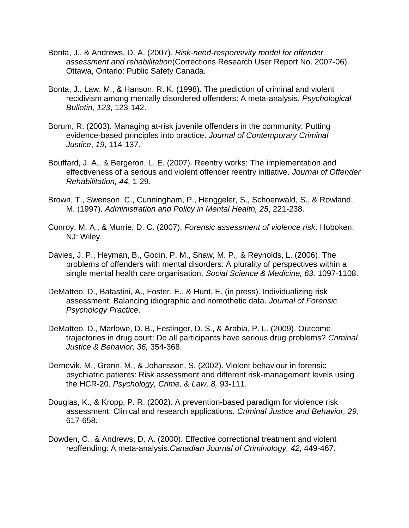- Bonta, J., & Andrews, D. A. (2007). *Risk-need-responsivity model for offender assessment and rehabilitation*(Corrections Research User Report No. 2007-06). Ottawa, Ontario: Public Safety Canada.
- Bonta, J., Law, M., & Hanson, R. K. (1998). The prediction of criminal and violent recidivism among mentally disordered offenders: A meta-analysis. *Psychological Bulletin, 123*, 123-142.
- Borum, R. (2003). Managing at-risk juvenile offenders in the community: Putting evidence-based principles into practice. *Journal of Contemporary Criminal Justice*, *19*, 114-137.
- Bouffard, J. A., & Bergeron, L. E. (2007). Reentry works: The implementation and effectiveness of a serious and violent offender reentry initiative. *Journal of Offender Rehabilitation, 44,* 1-29.
- Brown, T., Swenson, C., Cunningham, P., Henggeler, S., Schoenwald, S., & Rowland, M. (1997). *Administration and Policy in Mental Health, 25*, 221-238.
- Conroy, M. A., & Murrie, D. C. (2007). *Forensic assessment of violence risk*. Hoboken, NJ: Wiley.
- Davies, J. P., Heyman, B., Godin, P. M., Shaw, M. P., & Reynolds, L. (2006). The problems of offenders with mental disorders: A plurality of perspectives within a single mental health care organisation. *Social Science & Medicine, 63,* 1097-1108.
- DeMatteo, D., Batastini, A., Foster, E., & Hunt, E. (in press). Individualizing risk assessment: Balancing idiographic and nomothetic data. *Journal of Forensic Psychology Practice*.
- DeMatteo, D., Marlowe, D. B., Festinger, D. S., & Arabia, P. L. (2009). Outcome trajectories in drug court: Do all participants have serious drug problems? *Criminal Justice & Behavior, 36,* 354-368.
- Dernevik, M., Grann, M., & Johansson, S. (2002). Violent behaviour in forensic psychiatric patients: Risk assessment and different risk-management levels using the HCR-20. *Psychology, Crime, & Law, 8,* 93-111.
- Douglas, K., & Kropp, P. R. (2002). A prevention-based paradigm for violence risk assessment: Clinical and research applications. *Criminal Justice and Behavior, 29*, 617-658.
- Dowden, C., & Andrews, D. A. (2000). Effective correctional treatment and violent reoffending: A meta-analysis.*Canadian Journal of Criminology, 42*, 449-467.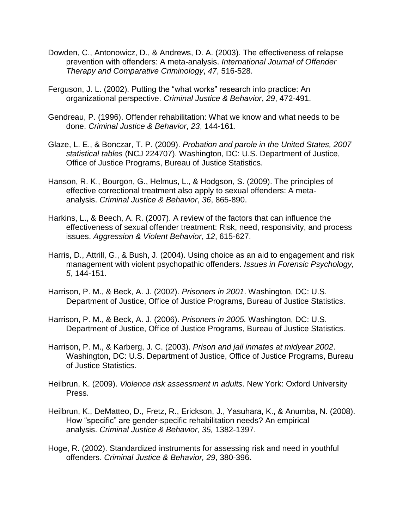- Dowden, C., Antonowicz, D., & Andrews, D. A. (2003). The effectiveness of relapse prevention with offenders: A meta-analysis. *International Journal of Offender Therapy and Comparative Criminology*, *47*, 516-528.
- Ferguson, J. L. (2002). Putting the "what works" research into practice: An organizational perspective. *Criminal Justice & Behavior*, *29*, 472-491.
- Gendreau, P. (1996). Offender rehabilitation: What we know and what needs to be done. *Criminal Justice & Behavior*, *23*, 144-161.
- Glaze, L. E., & Bonczar, T. P. (2009). *Probation and parole in the United States, 2007 statistical tables* (NCJ 224707). Washington, DC: U.S. Department of Justice, Office of Justice Programs, Bureau of Justice Statistics.
- Hanson, R. K., Bourgon, G., Helmus, L., & Hodgson, S. (2009). The principles of effective correctional treatment also apply to sexual offenders: A metaanalysis. *Criminal Justice & Behavior*, *36*, 865-890.
- Harkins, L., & Beech, A. R. (2007). A review of the factors that can influence the effectiveness of sexual offender treatment: Risk, need, responsivity, and process issues. *Aggression & Violent Behavior*, *12*, 615-627.
- Harris, D., Attrill, G., & Bush, J. (2004). Using choice as an aid to engagement and risk management with violent psychopathic offenders. *Issues in Forensic Psychology, 5*, 144-151.
- Harrison, P. M., & Beck, A. J. (2002). *Prisoners in 2001*. Washington, DC: U.S. Department of Justice, Office of Justice Programs, Bureau of Justice Statistics.
- Harrison, P. M., & Beck, A. J. (2006). *Prisoners in 2005.* Washington, DC: U.S. Department of Justice, Office of Justice Programs, Bureau of Justice Statistics.
- Harrison, P. M., & Karberg, J. C. (2003). *Prison and jail inmates at midyear 2002*. Washington, DC: U.S. Department of Justice, Office of Justice Programs, Bureau of Justice Statistics.
- Heilbrun, K. (2009). *Violence risk assessment in adults*. New York: Oxford University Press.
- Heilbrun, K., DeMatteo, D., Fretz, R., Erickson, J., Yasuhara, K., & Anumba, N. (2008). How "specific" are gender-specific rehabilitation needs? An empirical analysis. *Criminal Justice & Behavior, 35,* 1382-1397.
- Hoge, R. (2002). Standardized instruments for assessing risk and need in youthful offenders. *Criminal Justice & Behavior, 29*, 380-396.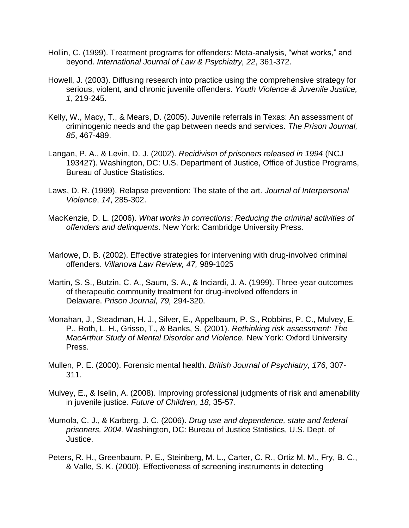- Hollin, C. (1999). Treatment programs for offenders: Meta-analysis, "what works," and beyond. *International Journal of Law & Psychiatry, 22*, 361-372.
- Howell, J. (2003). Diffusing research into practice using the comprehensive strategy for serious, violent, and chronic juvenile offenders. *Youth Violence & Juvenile Justice, 1*, 219-245.
- Kelly, W., Macy, T., & Mears, D. (2005). Juvenile referrals in Texas: An assessment of criminogenic needs and the gap between needs and services. *The Prison Journal, 85*, 467-489.
- Langan, P. A., & Levin, D. J. (2002). *Recidivism of prisoners released in 1994* (NCJ 193427). Washington, DC: U.S. Department of Justice, Office of Justice Programs, Bureau of Justice Statistics.
- Laws, D. R. (1999). Relapse prevention: The state of the art. *Journal of Interpersonal Violence*, *14*, 285-302.
- MacKenzie, D. L. (2006). *What works in corrections: Reducing the criminal activities of offenders and delinquents*. New York: Cambridge University Press.
- Marlowe, D. B. (2002). Effective strategies for intervening with drug-involved criminal offenders. *Villanova Law Review, 47,* 989-1025
- Martin, S. S., Butzin, C. A., Saum, S. A., & Inciardi, J. A. (1999). Three-year outcomes of therapeutic community treatment for drug-involved offenders in Delaware. *Prison Journal, 79,* 294-320.
- Monahan, J., Steadman, H. J., Silver, E., Appelbaum, P. S., Robbins, P. C., Mulvey, E. P., Roth, L. H., Grisso, T., & Banks, S. (2001). *Rethinking risk assessment: The MacArthur Study of Mental Disorder and Violence.* New York: Oxford University Press.
- Mullen, P. E. (2000). Forensic mental health. *British Journal of Psychiatry, 176*, 307- 311.
- Mulvey, E., & Iselin, A. (2008). Improving professional judgments of risk and amenability in juvenile justice. *Future of Children, 18*, 35-57.
- Mumola, C. J., & Karberg, J. C. (2006). *Drug use and dependence, state and federal prisoners, 2004.* Washington, DC: Bureau of Justice Statistics, U.S. Dept. of Justice.
- Peters, R. H., Greenbaum, P. E., Steinberg, M. L., Carter, C. R., Ortiz M. M., Fry, B. C., & Valle, S. K. (2000). Effectiveness of screening instruments in detecting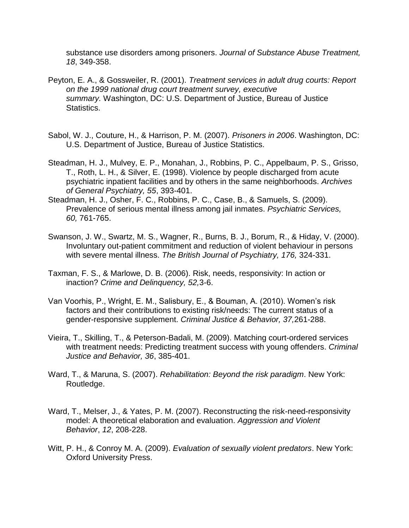substance use disorders among prisoners. *Journal of Substance Abuse Treatment, 18*, 349-358.

- Peyton, E. A., & Gossweiler, R. (2001). *Treatment services in adult drug courts: Report on the 1999 national drug court treatment survey, executive summary.* Washington, DC: U.S. Department of Justice, Bureau of Justice Statistics.
- Sabol, W. J., Couture, H., & Harrison, P. M. (2007). *Prisoners in 2006*. Washington, DC: U.S. Department of Justice, Bureau of Justice Statistics.
- Steadman, H. J., Mulvey, E. P., Monahan, J., Robbins, P. C., Appelbaum, P. S., Grisso, T., Roth, L. H., & Silver, E. (1998). Violence by people discharged from acute psychiatric inpatient facilities and by others in the same neighborhoods. *Archives of General Psychiatry, 55*, 393-401.
- Steadman, H. J., Osher, F. C., Robbins, P. C., Case, B., & Samuels, S. (2009). Prevalence of serious mental illness among jail inmates. *Psychiatric Services, 60,* 761-765.
- Swanson, J. W., Swartz, M. S., Wagner, R., Burns, B. J., Borum, R., & Hiday, V. (2000). Involuntary out-patient commitment and reduction of violent behaviour in persons with severe mental illness. *The British Journal of Psychiatry, 176,* 324-331.
- Taxman, F. S., & Marlowe, D. B. (2006). Risk, needs, responsivity: In action or inaction? *Crime and Delinquency, 52,*3-6.
- Van Voorhis, P., Wright, E. M., Salisbury, E., & Bouman, A. (2010). Women's risk factors and their contributions to existing risk/needs: The current status of a gender-responsive supplement. *Criminal Justice & Behavior, 37,*261-288.
- Vieira, T., Skilling, T., & Peterson-Badali, M. (2009). Matching court-ordered services with treatment needs: Predicting treatment success with young offenders. *Criminal Justice and Behavior, 36*, 385-401.
- Ward, T., & Maruna, S. (2007). *Rehabilitation: Beyond the risk paradigm*. New York: Routledge.
- Ward, T., Melser, J., & Yates, P. M. (2007). Reconstructing the risk-need-responsivity model: A theoretical elaboration and evaluation. *Aggression and Violent Behavior*, *12*, 208-228.
- Witt, P. H., & Conroy M. A. (2009). *Evaluation of sexually violent predators*. New York: Oxford University Press.